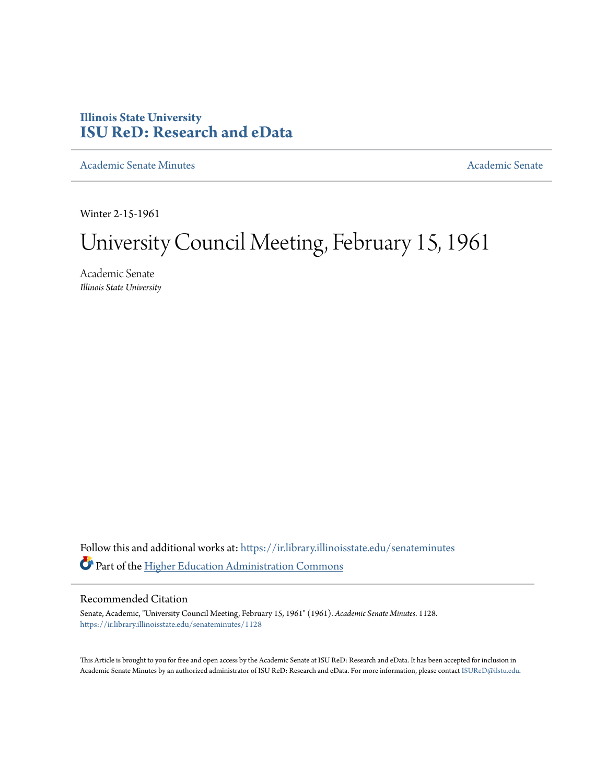# **Illinois State University [ISU ReD: Research and eData](https://ir.library.illinoisstate.edu?utm_source=ir.library.illinoisstate.edu%2Fsenateminutes%2F1128&utm_medium=PDF&utm_campaign=PDFCoverPages)**

[Academic Senate Minutes](https://ir.library.illinoisstate.edu/senateminutes?utm_source=ir.library.illinoisstate.edu%2Fsenateminutes%2F1128&utm_medium=PDF&utm_campaign=PDFCoverPages) [Academic Senate](https://ir.library.illinoisstate.edu/senate?utm_source=ir.library.illinoisstate.edu%2Fsenateminutes%2F1128&utm_medium=PDF&utm_campaign=PDFCoverPages) Academic Senate

Winter 2-15-1961

# University Council Meeting, February 15, 1961

Academic Senate *Illinois State University*

Follow this and additional works at: [https://ir.library.illinoisstate.edu/senateminutes](https://ir.library.illinoisstate.edu/senateminutes?utm_source=ir.library.illinoisstate.edu%2Fsenateminutes%2F1128&utm_medium=PDF&utm_campaign=PDFCoverPages) Part of the [Higher Education Administration Commons](http://network.bepress.com/hgg/discipline/791?utm_source=ir.library.illinoisstate.edu%2Fsenateminutes%2F1128&utm_medium=PDF&utm_campaign=PDFCoverPages)

# Recommended Citation

Senate, Academic, "University Council Meeting, February 15, 1961" (1961). *Academic Senate Minutes*. 1128. [https://ir.library.illinoisstate.edu/senateminutes/1128](https://ir.library.illinoisstate.edu/senateminutes/1128?utm_source=ir.library.illinoisstate.edu%2Fsenateminutes%2F1128&utm_medium=PDF&utm_campaign=PDFCoverPages)

This Article is brought to you for free and open access by the Academic Senate at ISU ReD: Research and eData. It has been accepted for inclusion in Academic Senate Minutes by an authorized administrator of ISU ReD: Research and eData. For more information, please contact [ISUReD@ilstu.edu.](mailto:ISUReD@ilstu.edu)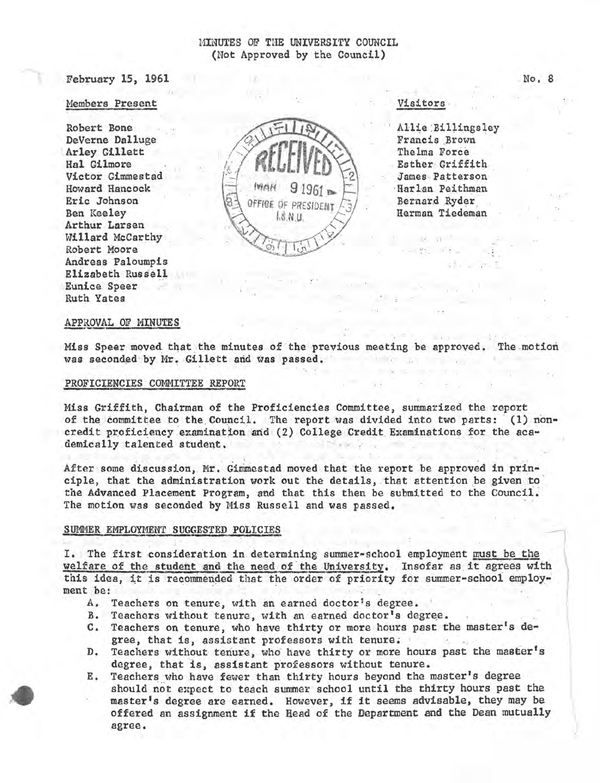February 15, 1961

## Members Present

Robert Bone DeVerne Dalluge Arley Gillett Hal Gilmore Victor Gimmestad Howard Hancock Eric Johnson Ben Keeley Arthur Larsen Willard McCarthy Robert Moore Andreas Paloumpis Elizabeth Russell **Eunice Speer Ruth Yates** 

OFFICE OF PRESIDENT  $1.8$  N U.

Visitors.

Allie Billingsley Francis Brown The Ima Force Esther Griffith James Patterson Harlan Peithman Bernard Ryder Herman Tiedeman

# APPROVAL OF MINUTES

Miss Speer moved that the minutes of the previous meeting be approved. The motion was seconded by Mr. Gillett and was passed.

#### PROFICIENCIES COMMITTEE REPORT

Miss Griffith, Chairman of the Proficiencies Committee, summarized the report of the committee to the Council. The report was divided into two parts: (1) noncredit proficiency examination and (2) College Credit Examinations for the academically talented student.

After some discussion, Mr. Gimmestad moved that the report be approved in principle, that the administration work out the details, that attention be given to the Advanced Placement Program, and that this then be submitted to the Council. The motion was seconded by Miss Russell and was passed.

#### SUMMER EMPLOYMENT SUGGESTED POLICIES

I. The first consideration in determining summer-school employment must be the welfare of the student and the need of the University. Insofar as it agrees with this idea, it is recommended that the order of priority for summer-school employment be:

- A. Teachers on tenure, with an earned doctor's degree.
- B. Teachers without tenure, with an earned doctor's degree.
- C. Teachers on tenure, who have thirty or more hours past the master's degree, that is, assistant professors with tenure.
- Teachers without tenure, who have thirty or more hours past the master's D. degree, that is, assistant professors without tenure.
- Teachers who have fewer than thirty hours beyond the master's degree Ε. should not expect to teach summer school until the thirty hours past the master's degree are earned. However, if it seems advisable, they may be offered an assignment if the Head of the Department and the Dean mutually agree.

No. 8